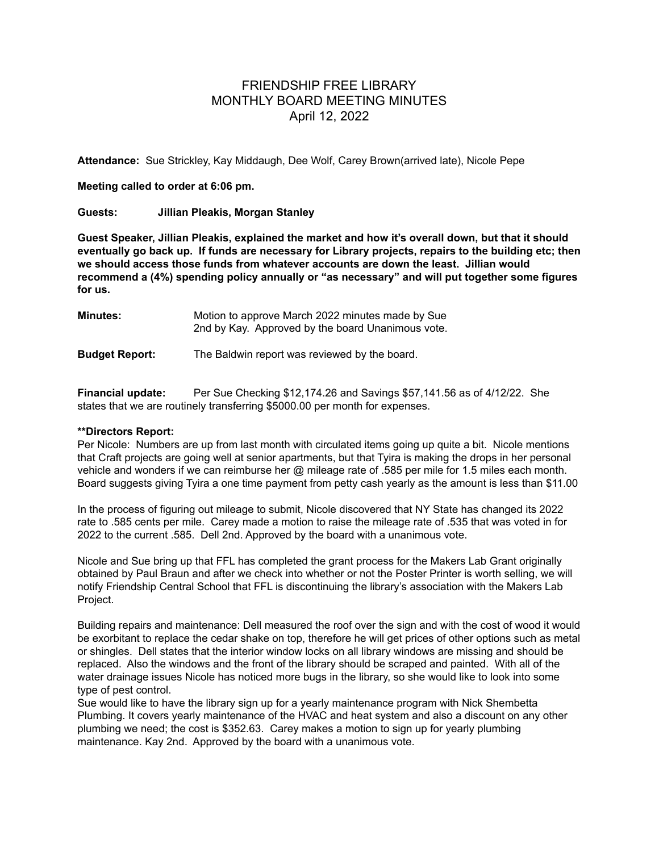## FRIENDSHIP FREE LIBRARY MONTHLY BOARD MEETING MINUTES April 12, 2022

**Attendance:** Sue Strickley, Kay Middaugh, Dee Wolf, Carey Brown(arrived late), Nicole Pepe

## **Meeting called to order at 6:06 pm.**

## **Guests: Jillian Pleakis, Morgan Stanley**

**Guest Speaker, Jillian Pleakis, explained the market and how it's overall down, but that it should eventually go back up. If funds are necessary for Library projects, repairs to the building etc; then we should access those funds from whatever accounts are down the least. Jillian would recommend a (4%) spending policy annually or "as necessary" and will put together some figures for us.**

| <b>Minutes:</b>       | Motion to approve March 2022 minutes made by Sue<br>2nd by Kay. Approved by the board Unanimous vote. |
|-----------------------|-------------------------------------------------------------------------------------------------------|
| <b>Budget Report:</b> | The Baldwin report was reviewed by the board.                                                         |

**Financial update:** Per Sue Checking \$12,174.26 and Savings \$57,141.56 as of 4/12/22. She states that we are routinely transferring \$5000.00 per month for expenses.

## **\*\*Directors Report:**

Per Nicole: Numbers are up from last month with circulated items going up quite a bit. Nicole mentions that Craft projects are going well at senior apartments, but that Tyira is making the drops in her personal vehicle and wonders if we can reimburse her @ mileage rate of .585 per mile for 1.5 miles each month. Board suggests giving Tyira a one time payment from petty cash yearly as the amount is less than \$11.00

In the process of figuring out mileage to submit, Nicole discovered that NY State has changed its 2022 rate to .585 cents per mile. Carey made a motion to raise the mileage rate of .535 that was voted in for 2022 to the current .585. Dell 2nd. Approved by the board with a unanimous vote.

Nicole and Sue bring up that FFL has completed the grant process for the Makers Lab Grant originally obtained by Paul Braun and after we check into whether or not the Poster Printer is worth selling, we will notify Friendship Central School that FFL is discontinuing the library's association with the Makers Lab Project.

Building repairs and maintenance: Dell measured the roof over the sign and with the cost of wood it would be exorbitant to replace the cedar shake on top, therefore he will get prices of other options such as metal or shingles. Dell states that the interior window locks on all library windows are missing and should be replaced. Also the windows and the front of the library should be scraped and painted. With all of the water drainage issues Nicole has noticed more bugs in the library, so she would like to look into some type of pest control.

Sue would like to have the library sign up for a yearly maintenance program with Nick Shembetta Plumbing. It covers yearly maintenance of the HVAC and heat system and also a discount on any other plumbing we need; the cost is \$352.63. Carey makes a motion to sign up for yearly plumbing maintenance. Kay 2nd. Approved by the board with a unanimous vote.